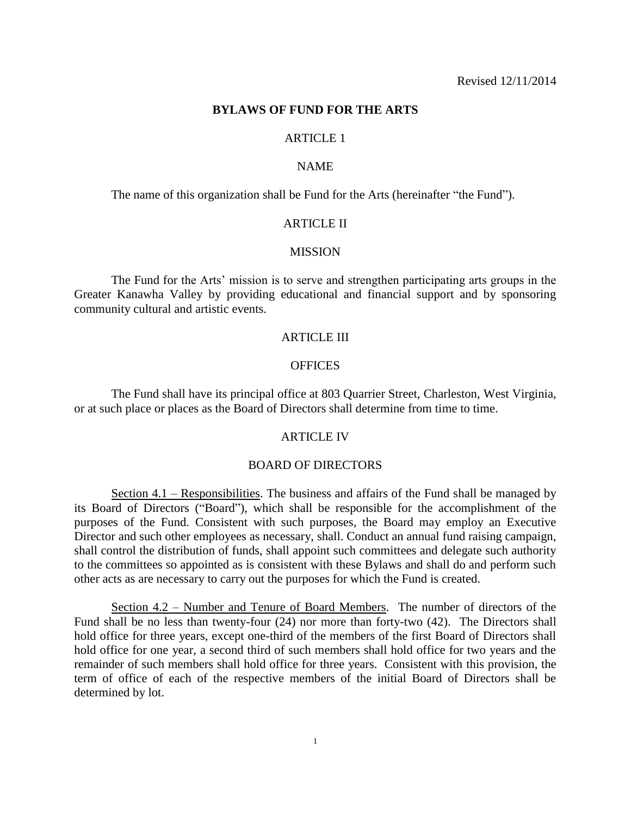## **BYLAWS OF FUND FOR THE ARTS**

# ARTICLE 1

## NAME

The name of this organization shall be Fund for the Arts (hereinafter "the Fund").

## **ARTICLE II**

#### **MISSION**

The Fund for the Arts' mission is to serve and strengthen participating arts groups in the Greater Kanawha Valley by providing educational and financial support and by sponsoring community cultural and artistic events.

## ARTICLE III

## OFFICES

The Fund shall have its principal office at 803 Quarrier Street, Charleston, West Virginia, or at such place or places as the Board of Directors shall determine from time to time.

# ARTICLE IV

## BOARD OF DIRECTORS

Section 4.1 – Responsibilities. The business and affairs of the Fund shall be managed by its Board of Directors ("Board"), which shall be responsible for the accomplishment of the purposes of the Fund. Consistent with such purposes, the Board may employ an Executive Director and such other employees as necessary, shall. Conduct an annual fund raising campaign, shall control the distribution of funds, shall appoint such committees and delegate such authority to the committees so appointed as is consistent with these Bylaws and shall do and perform such other acts as are necessary to carry out the purposes for which the Fund is created.

Section 4.2 – Number and Tenure of Board Members. The number of directors of the Fund shall be no less than twenty-four (24) nor more than forty-two (42). The Directors shall hold office for three years, except one-third of the members of the first Board of Directors shall hold office for one year, a second third of such members shall hold office for two years and the remainder of such members shall hold office for three years. Consistent with this provision, the term of office of each of the respective members of the initial Board of Directors shall be determined by lot.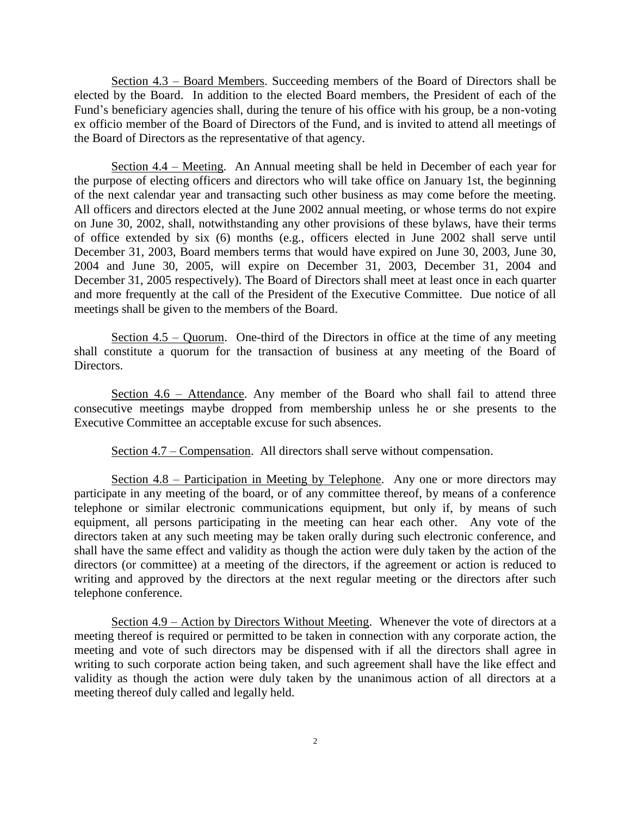Section 4.3 – Board Members. Succeeding members of the Board of Directors shall be elected by the Board. In addition to the elected Board members, the President of each of the Fund's beneficiary agencies shall, during the tenure of his office with his group, be a non-voting ex officio member of the Board of Directors of the Fund, and is invited to attend all meetings of the Board of Directors as the representative of that agency.

Section 4.4 – Meeting. An Annual meeting shall be held in December of each year for the purpose of electing officers and directors who will take office on January 1st, the beginning of the next calendar year and transacting such other business as may come before the meeting. All officers and directors elected at the June 2002 annual meeting, or whose terms do not expire on June 30, 2002, shall, notwithstanding any other provisions of these bylaws, have their terms of office extended by six (6) months (e.g., officers elected in June 2002 shall serve until December 31, 2003, Board members terms that would have expired on June 30, 2003, June 30, 2004 and June 30, 2005, will expire on December 31, 2003, December 31, 2004 and December 31, 2005 respectively). The Board of Directors shall meet at least once in each quarter and more frequently at the call of the President of the Executive Committee. Due notice of all meetings shall be given to the members of the Board.

Section  $4.5 -$  Quorum. One-third of the Directors in office at the time of any meeting shall constitute a quorum for the transaction of business at any meeting of the Board of Directors.

Section 4.6 – Attendance. Any member of the Board who shall fail to attend three consecutive meetings maybe dropped from membership unless he or she presents to the Executive Committee an acceptable excuse for such absences.

Section 4.7 – Compensation. All directors shall serve without compensation.

Section 4.8 – Participation in Meeting by Telephone. Any one or more directors may participate in any meeting of the board, or of any committee thereof, by means of a conference telephone or similar electronic communications equipment, but only if, by means of such equipment, all persons participating in the meeting can hear each other. Any vote of the directors taken at any such meeting may be taken orally during such electronic conference, and shall have the same effect and validity as though the action were duly taken by the action of the directors (or committee) at a meeting of the directors, if the agreement or action is reduced to writing and approved by the directors at the next regular meeting or the directors after such telephone conference.

Section 4.9 – Action by Directors Without Meeting. Whenever the vote of directors at a meeting thereof is required or permitted to be taken in connection with any corporate action, the meeting and vote of such directors may be dispensed with if all the directors shall agree in writing to such corporate action being taken, and such agreement shall have the like effect and validity as though the action were duly taken by the unanimous action of all directors at a meeting thereof duly called and legally held.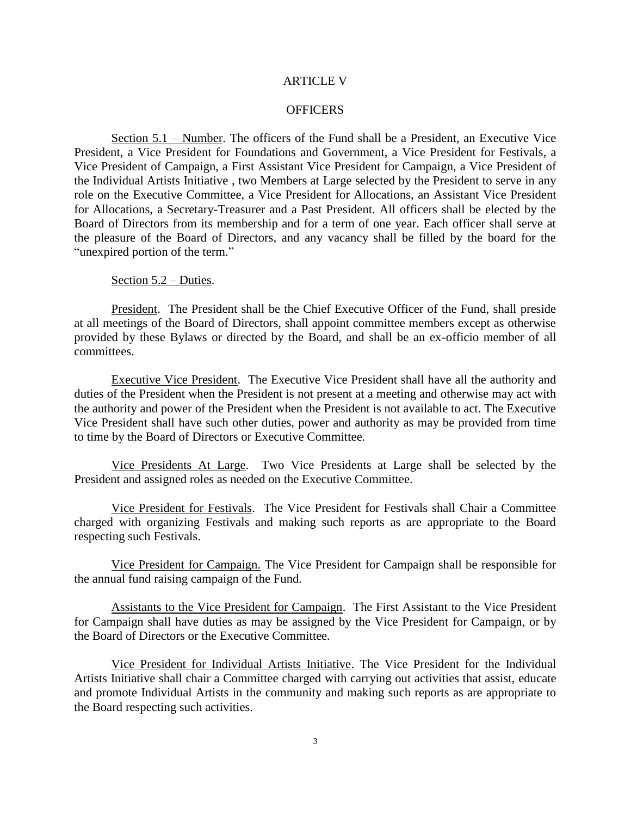### ARTICLE V

### **OFFICERS**

Section 5.1 – Number. The officers of the Fund shall be a President, an Executive Vice President, a Vice President for Foundations and Government, a Vice President for Festivals, a Vice President of Campaign, a First Assistant Vice President for Campaign, a Vice President of the Individual Artists Initiative , two Members at Large selected by the President to serve in any role on the Executive Committee, a Vice President for Allocations, an Assistant Vice President for Allocations, a Secretary-Treasurer and a Past President. All officers shall be elected by the Board of Directors from its membership and for a term of one year. Each officer shall serve at the pleasure of the Board of Directors, and any vacancy shall be filled by the board for the "unexpired portion of the term."

Section 5.2 – Duties.

President. The President shall be the Chief Executive Officer of the Fund, shall preside at all meetings of the Board of Directors, shall appoint committee members except as otherwise provided by these Bylaws or directed by the Board, and shall be an ex-officio member of all committees.

Executive Vice President. The Executive Vice President shall have all the authority and duties of the President when the President is not present at a meeting and otherwise may act with the authority and power of the President when the President is not available to act. The Executive Vice President shall have such other duties, power and authority as may be provided from time to time by the Board of Directors or Executive Committee.

Vice Presidents At Large. Two Vice Presidents at Large shall be selected by the President and assigned roles as needed on the Executive Committee.

Vice President for Festivals. The Vice President for Festivals shall Chair a Committee charged with organizing Festivals and making such reports as are appropriate to the Board respecting such Festivals.

Vice President for Campaign. The Vice President for Campaign shall be responsible for the annual fund raising campaign of the Fund.

Assistants to the Vice President for Campaign. The First Assistant to the Vice President for Campaign shall have duties as may be assigned by the Vice President for Campaign, or by the Board of Directors or the Executive Committee.

Vice President for Individual Artists Initiative. The Vice President for the Individual Artists Initiative shall chair a Committee charged with carrying out activities that assist, educate and promote Individual Artists in the community and making such reports as are appropriate to the Board respecting such activities.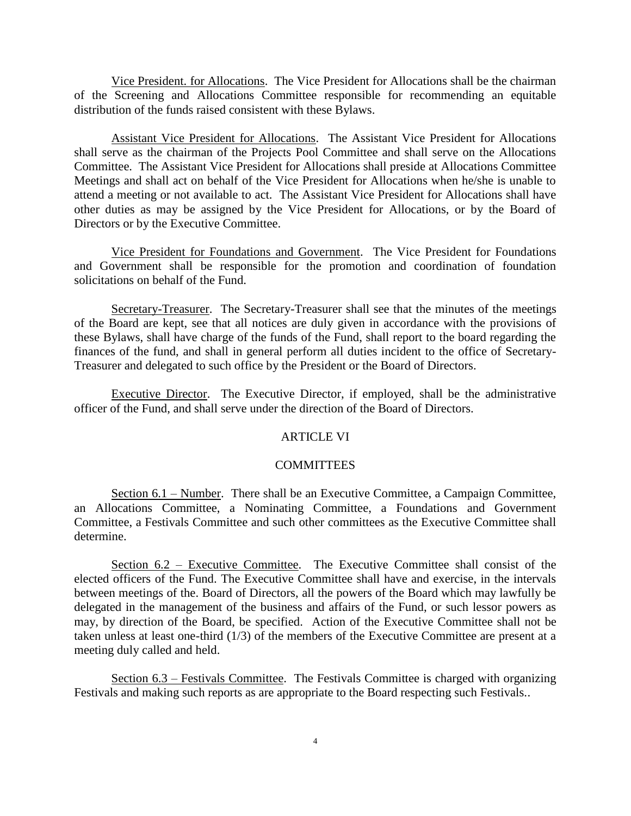Vice President. for Allocations. The Vice President for Allocations shall be the chairman of the Screening and Allocations Committee responsible for recommending an equitable distribution of the funds raised consistent with these Bylaws.

Assistant Vice President for Allocations. The Assistant Vice President for Allocations shall serve as the chairman of the Projects Pool Committee and shall serve on the Allocations Committee. The Assistant Vice President for Allocations shall preside at Allocations Committee Meetings and shall act on behalf of the Vice President for Allocations when he/she is unable to attend a meeting or not available to act. The Assistant Vice President for Allocations shall have other duties as may be assigned by the Vice President for Allocations, or by the Board of Directors or by the Executive Committee.

Vice President for Foundations and Government. The Vice President for Foundations and Government shall be responsible for the promotion and coordination of foundation solicitations on behalf of the Fund.

Secretary-Treasurer. The Secretary-Treasurer shall see that the minutes of the meetings of the Board are kept, see that all notices are duly given in accordance with the provisions of these Bylaws, shall have charge of the funds of the Fund, shall report to the board regarding the finances of the fund, and shall in general perform all duties incident to the office of Secretary-Treasurer and delegated to such office by the President or the Board of Directors.

Executive Director. The Executive Director, if employed, shall be the administrative officer of the Fund, and shall serve under the direction of the Board of Directors.

# ARTICLE VI

# COMMITTEES

Section 6.1 – Number. There shall be an Executive Committee, a Campaign Committee, an Allocations Committee, a Nominating Committee, a Foundations and Government Committee, a Festivals Committee and such other committees as the Executive Committee shall determine.

Section 6.2 – Executive Committee. The Executive Committee shall consist of the elected officers of the Fund. The Executive Committee shall have and exercise, in the intervals between meetings of the. Board of Directors, all the powers of the Board which may lawfully be delegated in the management of the business and affairs of the Fund, or such lessor powers as may, by direction of the Board, be specified. Action of the Executive Committee shall not be taken unless at least one-third (1/3) of the members of the Executive Committee are present at a meeting duly called and held.

Section 6.3 – Festivals Committee. The Festivals Committee is charged with organizing Festivals and making such reports as are appropriate to the Board respecting such Festivals..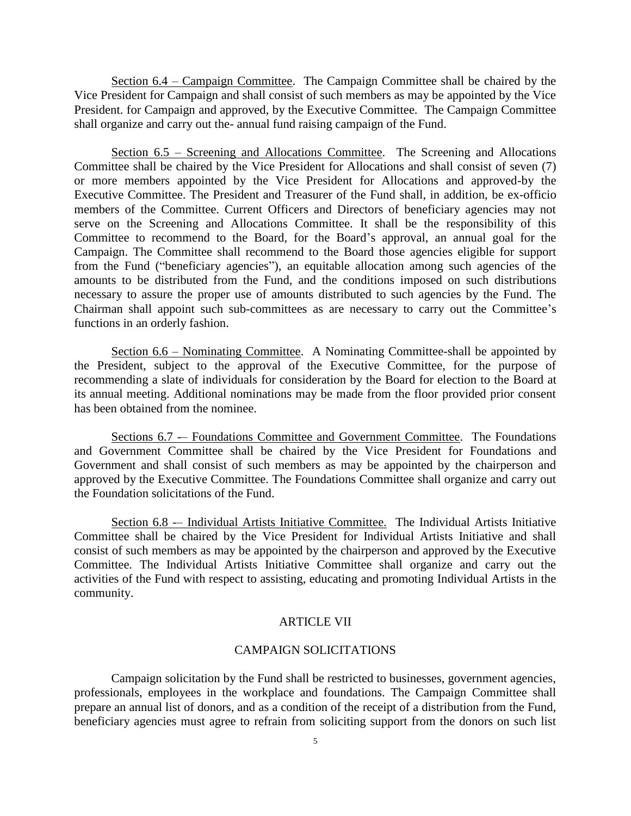Section 6.4 – Campaign Committee. The Campaign Committee shall be chaired by the Vice President for Campaign and shall consist of such members as may be appointed by the Vice President. for Campaign and approved, by the Executive Committee. The Campaign Committee shall organize and carry out the- annual fund raising campaign of the Fund.

Section 6.5 – Screening and Allocations Committee. The Screening and Allocations Committee shall be chaired by the Vice President for Allocations and shall consist of seven (7) or more members appointed by the Vice President for Allocations and approved-by the Executive Committee. The President and Treasurer of the Fund shall, in addition, be ex-officio members of the Committee. Current Officers and Directors of beneficiary agencies may not serve on the Screening and Allocations Committee. It shall be the responsibility of this Committee to recommend to the Board, for the Board's approval, an annual goal for the Campaign. The Committee shall recommend to the Board those agencies eligible for support from the Fund ("beneficiary agencies"), an equitable allocation among such agencies of the amounts to be distributed from the Fund, and the conditions imposed on such distributions necessary to assure the proper use of amounts distributed to such agencies by the Fund. The Chairman shall appoint such sub-committees as are necessary to carry out the Committee's functions in an orderly fashion.

Section 6.6 – Nominating Committee. A Nominating Committee-shall be appointed by the President, subject to the approval of the Executive Committee, for the purpose of recommending a slate of individuals for consideration by the Board for election to the Board at its annual meeting. Additional nominations may be made from the floor provided prior consent has been obtained from the nominee.

Sections 6.7 -– Foundations Committee and Government Committee. The Foundations and Government Committee shall be chaired by the Vice President for Foundations and Government and shall consist of such members as may be appointed by the chairperson and approved by the Executive Committee. The Foundations Committee shall organize and carry out the Foundation solicitations of the Fund.

Section 6.8 -– Individual Artists Initiative Committee. The Individual Artists Initiative Committee shall be chaired by the Vice President for Individual Artists Initiative and shall consist of such members as may be appointed by the chairperson and approved by the Executive Committee. The Individual Artists Initiative Committee shall organize and carry out the activities of the Fund with respect to assisting, educating and promoting Individual Artists in the community.

#### ARTICLE VII

#### CAMPAIGN SOLICITATIONS

Campaign solicitation by the Fund shall be restricted to businesses, government agencies, professionals, employees in the workplace and foundations. The Campaign Committee shall prepare an annual list of donors, and as a condition of the receipt of a distribution from the Fund, beneficiary agencies must agree to refrain from soliciting support from the donors on such list